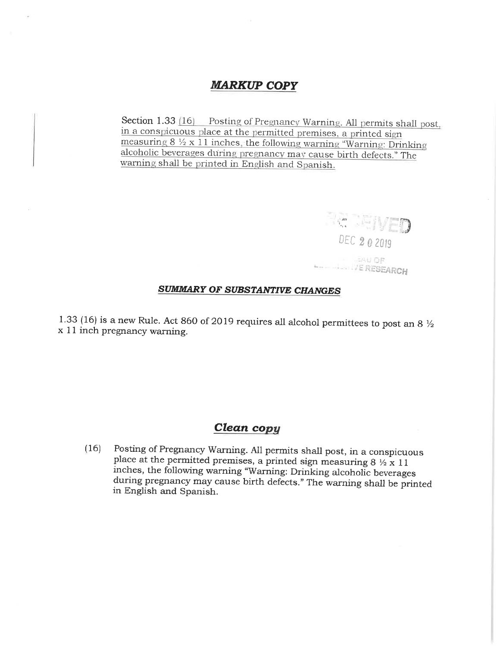## **MARKUP COPY**

Section 1.33 [16] Posting of Pregnancy Warning. All permits shall post, in a conspicuous place at the permitted premises, a printed sign measuring  $8 \frac{1}{2} \times 11$  inches, the following warning "Warning: Drinking alcoholic beverages during pregnancy may cause birth defects." The warning shall be printed in English and Spanish.

SAU OR **AND JE RESEARCH** 

DEC 2 0 2019



1.33 (16) is a new Rule. Act 860 of 2019 requires all alcohol permittees to post an 8  $\frac{1}{2}$ x 11 inch pregnancy warning.

## Clean copy

Posting of Pregnancy Warning. All permits shall post, in a conspicuous  $(16)$ place at the permitted premises, a printed sign measuring  $8\frac{1}{2} \times 11$ inches, the following warning "Warning: Drinking alcoholic beverages during pregnancy may cause birth defects." The warning shall be printed in English and Spanish.